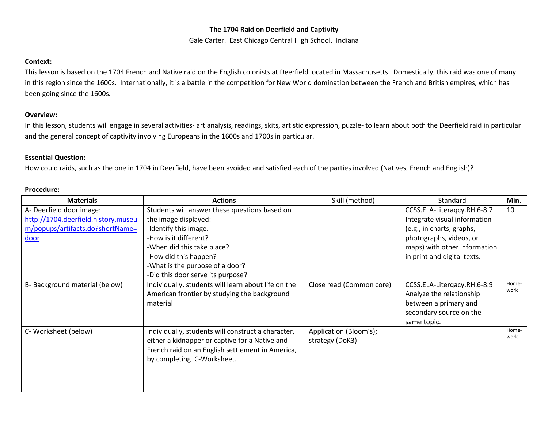## **The 1704 Raid on Deerfield and Captivity**

Gale Carter. East Chicago Central High School. Indiana

### **Context:**

This lesson is based on the 1704 French and Native raid on the English colonists at Deerfield located in Massachusetts. Domestically, this raid was one of many in this region since the 1600s. Internationally, it is a battle in the competition for New World domination between the French and British empires, which has been going since the 1600s.

#### **Overview:**

In this lesson, students will engage in several activities- art analysis, readings, skits, artistic expression, puzzle- to learn about both the Deerfield raid in particular and the general concept of captivity involving Europeans in the 1600s and 1700s in particular.

# **Essential Question:**

How could raids, such as the one in 1704 in Deerfield, have been avoided and satisfied each of the parties involved (Natives, French and English)?

| <b>Procedure:</b> |
|-------------------|
|-------------------|

| <b>Materials</b>                    | <b>Actions</b>                                                                                                                                                                         | Skill (method)                            | Standard                                                                                                                   | Min.          |
|-------------------------------------|----------------------------------------------------------------------------------------------------------------------------------------------------------------------------------------|-------------------------------------------|----------------------------------------------------------------------------------------------------------------------------|---------------|
| A- Deerfield door image:            | Students will answer these questions based on                                                                                                                                          |                                           | CCSS.ELA-Literaqcy.RH.6-8.7                                                                                                | 10            |
| http://1704.deerfield.history.museu | the image displayed:                                                                                                                                                                   |                                           | Integrate visual information                                                                                               |               |
| m/popups/artifacts.do?shortName=    | -Identify this image.                                                                                                                                                                  |                                           | (e.g., in charts, graphs,                                                                                                  |               |
| <u>door</u>                         | -How is it different?                                                                                                                                                                  |                                           | photographs, videos, or                                                                                                    |               |
|                                     | -When did this take place?                                                                                                                                                             |                                           | maps) with other information                                                                                               |               |
|                                     | -How did this happen?                                                                                                                                                                  |                                           | in print and digital texts.                                                                                                |               |
|                                     | -What is the purpose of a door?                                                                                                                                                        |                                           |                                                                                                                            |               |
|                                     | -Did this door serve its purpose?                                                                                                                                                      |                                           |                                                                                                                            |               |
| B-Background material (below)       | Individually, students will learn about life on the<br>American frontier by studying the background<br>material                                                                        | Close read (Common core)                  | CCSS.ELA-Litergacy.RH.6-8.9<br>Analyze the relationship<br>between a primary and<br>secondary source on the<br>same topic. | Home-<br>work |
| C- Worksheet (below)                | Individually, students will construct a character,<br>either a kidnapper or captive for a Native and<br>French raid on an English settlement in America,<br>by completing C-Worksheet. | Application (Bloom's);<br>strategy (DoK3) |                                                                                                                            | Home-<br>work |
|                                     |                                                                                                                                                                                        |                                           |                                                                                                                            |               |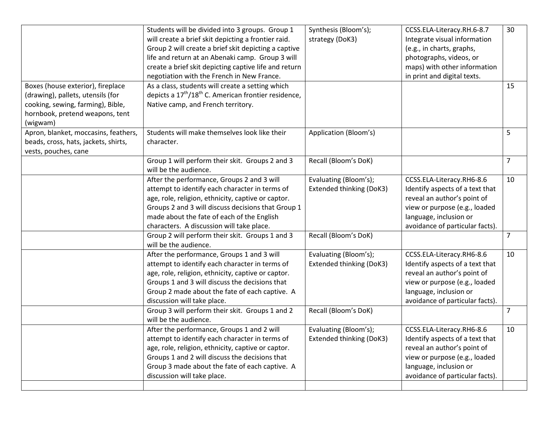|                                                                                                                                                            | Students will be divided into 3 groups. Group 1<br>will create a brief skit depicting a frontier raid.<br>Group 2 will create a brief skit depicting a captive<br>life and return at an Abenaki camp. Group 3 will<br>create a brief skit depicting captive life and return<br>negotiation with the French in New France. | Synthesis (Bloom's);<br>strategy (DoK3)           | CCSS.ELA-Literacy.RH.6-8.7<br>Integrate visual information<br>(e.g., in charts, graphs,<br>photographs, videos, or<br>maps) with other information<br>in print and digital texts.         | 30             |
|------------------------------------------------------------------------------------------------------------------------------------------------------------|---------------------------------------------------------------------------------------------------------------------------------------------------------------------------------------------------------------------------------------------------------------------------------------------------------------------------|---------------------------------------------------|-------------------------------------------------------------------------------------------------------------------------------------------------------------------------------------------|----------------|
| Boxes (house exterior), fireplace<br>(drawing), pallets, utensils (for<br>cooking, sewing, farming), Bible,<br>hornbook, pretend weapons, tent<br>(wigwam) | As a class, students will create a setting which<br>depicts a $17^{\text{th}}/18^{\text{th}}$ C. American frontier residence,<br>Native camp, and French territory.                                                                                                                                                       |                                                   |                                                                                                                                                                                           | 15             |
| Apron, blanket, moccasins, feathers,<br>beads, cross, hats, jackets, shirts,<br>vests, pouches, cane                                                       | Students will make themselves look like their<br>character.                                                                                                                                                                                                                                                               | Application (Bloom's)                             |                                                                                                                                                                                           | 5              |
|                                                                                                                                                            | Group 1 will perform their skit. Groups 2 and 3<br>will be the audience.                                                                                                                                                                                                                                                  | Recall (Bloom's DoK)                              |                                                                                                                                                                                           | $\overline{7}$ |
|                                                                                                                                                            | After the performance, Groups 2 and 3 will<br>attempt to identify each character in terms of<br>age, role, religion, ethnicity, captive or captor.<br>Groups 2 and 3 will discuss decisions that Group 1<br>made about the fate of each of the English<br>characters. A discussion will take place.                       | Evaluating (Bloom's);<br>Extended thinking (DoK3) | CCSS.ELA-Literacy.RH6-8.6<br>Identify aspects of a text that<br>reveal an author's point of<br>view or purpose (e.g., loaded<br>language, inclusion or<br>avoidance of particular facts). | 10             |
|                                                                                                                                                            | Group 2 will perform their skit. Groups 1 and 3<br>will be the audience.                                                                                                                                                                                                                                                  | Recall (Bloom's DoK)                              |                                                                                                                                                                                           | $\overline{7}$ |
|                                                                                                                                                            | After the performance, Groups 1 and 3 will<br>attempt to identify each character in terms of<br>age, role, religion, ethnicity, captive or captor.<br>Groups 1 and 3 will discuss the decisions that<br>Group 2 made about the fate of each captive. A<br>discussion will take place.                                     | Evaluating (Bloom's);<br>Extended thinking (DoK3) | CCSS.ELA-Literacy.RH6-8.6<br>Identify aspects of a text that<br>reveal an author's point of<br>view or purpose (e.g., loaded<br>language, inclusion or<br>avoidance of particular facts). | 10             |
|                                                                                                                                                            | Group 3 will perform their skit. Groups 1 and 2<br>will be the audience.                                                                                                                                                                                                                                                  | Recall (Bloom's DoK)                              |                                                                                                                                                                                           | $\overline{7}$ |
|                                                                                                                                                            | After the performance, Groups 1 and 2 will<br>attempt to identify each character in terms of<br>age, role, religion, ethnicity, captive or captor.<br>Groups 1 and 2 will discuss the decisions that<br>Group 3 made about the fate of each captive. A<br>discussion will take place.                                     | Evaluating (Bloom's);<br>Extended thinking (DoK3) | CCSS.ELA-Literacy.RH6-8.6<br>Identify aspects of a text that<br>reveal an author's point of<br>view or purpose (e.g., loaded<br>language, inclusion or<br>avoidance of particular facts). | 10             |
|                                                                                                                                                            |                                                                                                                                                                                                                                                                                                                           |                                                   |                                                                                                                                                                                           |                |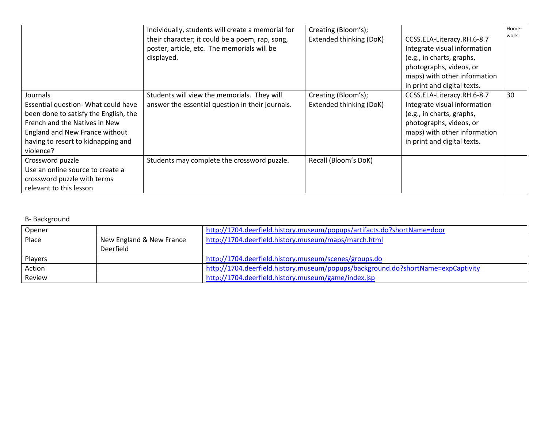|                                                                                                                                                                                                                | Individually, students will create a memorial for<br>their character; it could be a poem, rap, song,<br>poster, article, etc. The memorials will be<br>displayed. | Creating (Bloom's);<br>Extended thinking (DoK) | CCSS.ELA-Literacy.RH.6-8.7<br>Integrate visual information<br>(e.g., in charts, graphs,<br>photographs, videos, or<br>maps) with other information<br>in print and digital texts. | Home-<br>work |
|----------------------------------------------------------------------------------------------------------------------------------------------------------------------------------------------------------------|-------------------------------------------------------------------------------------------------------------------------------------------------------------------|------------------------------------------------|-----------------------------------------------------------------------------------------------------------------------------------------------------------------------------------|---------------|
| Journals<br>Essential question- What could have<br>been done to satisfy the English, the<br>French and the Natives in New<br>England and New France without<br>having to resort to kidnapping and<br>violence? | Students will view the memorials. They will<br>answer the essential question in their journals.                                                                   | Creating (Bloom's);<br>Extended thinking (DoK) | CCSS.ELA-Literacy.RH.6-8.7<br>Integrate visual information<br>(e.g., in charts, graphs,<br>photographs, videos, or<br>maps) with other information<br>in print and digital texts. | 30            |
| Crossword puzzle<br>Use an online source to create a<br>crossword puzzle with terms<br>relevant to this lesson                                                                                                 | Students may complete the crossword puzzle.                                                                                                                       | Recall (Bloom's DoK)                           |                                                                                                                                                                                   |               |

# B- Background

| Opener  |                          | http://1704.deerfield.history.museum/popups/artifacts.do?shortName=door          |
|---------|--------------------------|----------------------------------------------------------------------------------|
| Place   | New England & New France | http://1704.deerfield.history.museum/maps/march.html                             |
|         | Deerfield                |                                                                                  |
| Players |                          | http://1704.deerfield.history.museum/scenes/groups.do                            |
| Action  |                          | http://1704.deerfield.history.museum/popups/background.do?shortName=expCaptivity |
| Review  |                          | http://1704.deerfield.history.museum/game/index.jsp                              |